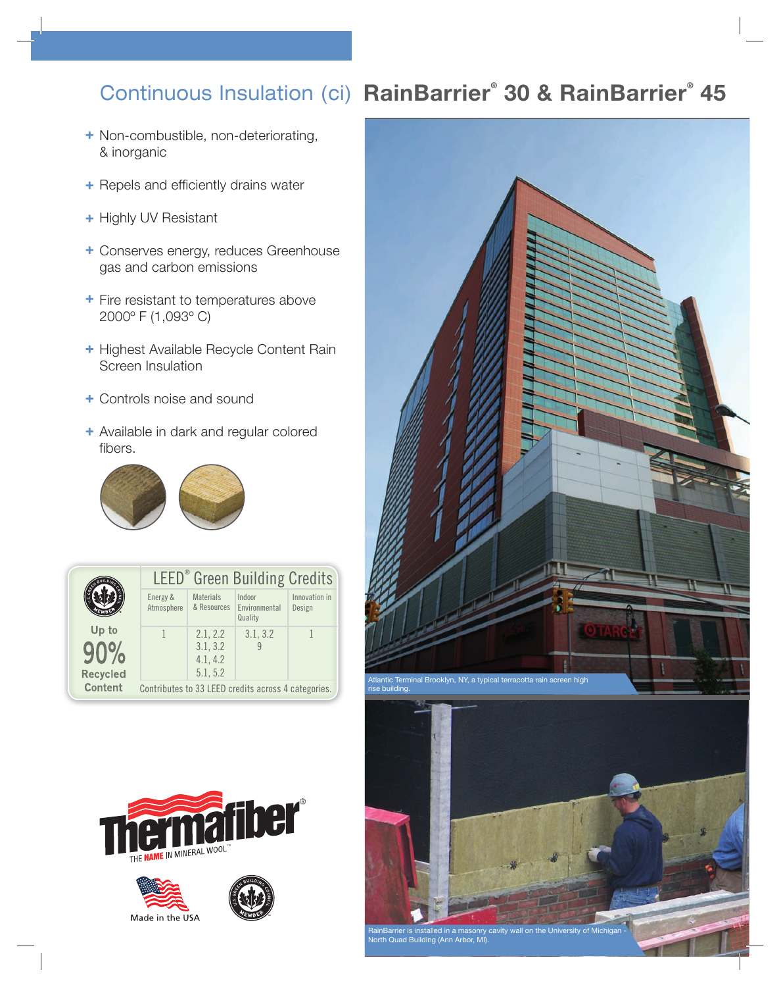## **RainBarrier® 30 & RainBarrier®** Continuous Insulation (ci) **45**

- + Non-combustible, non-deteriorating, & inorganic
- + Repels and efficiently drains water
- + Highly UV Resistant
- + Conserves energy, reduces Greenhouse gas and carbon emissions
- + Fire resistant to temperatures above 2000º F (1,093º C)
- + Highest Available Recycle Content Rain Screen Insulation
- + Controls noise and sound
- + Available in dark and regular colored fibers.



|                          | LEED <sup>®</sup> Green Building Credits            |                                              |                                    |                         |  |  |  |  |
|--------------------------|-----------------------------------------------------|----------------------------------------------|------------------------------------|-------------------------|--|--|--|--|
| Up to<br><b>Recycled</b> | Energy &<br>Atmosphere                              | <b>Materials</b><br>& Resources              | Indoor<br>Environmental<br>Quality | Innovation in<br>Design |  |  |  |  |
|                          |                                                     | 2.1, 2.2<br>3.1, 3.2<br>4.1, 4.2<br>5.1, 5.2 | 3.1, 3.2                           |                         |  |  |  |  |
| Content                  | Contributes to 33 LEED credits across 4 categories. |                                              |                                    |                         |  |  |  |  |











RainBarrier is installed in a masonry cavity wall on the University of Michigan - North Quad Building (Ann Arbor, MI).